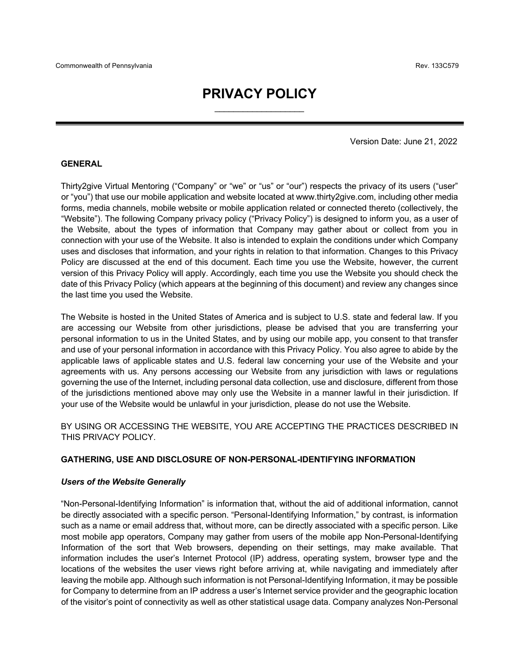# **PRIVACY POLICY**  $\overline{\phantom{a}}$  , and the set of the set of the set of the set of the set of the set of the set of the set of the set of the set of the set of the set of the set of the set of the set of the set of the set of the set of the s

Version Date: June 21, 2022

#### **GENERAL**

Thirty2give Virtual Mentoring ("Company" or "we" or "us" or "our") respects the privacy of its users ("user" or "you") that use our mobile application and website located at www.thirty2give.com, including other media forms, media channels, mobile website or mobile application related or connected thereto (collectively, the "Website"). The following Company privacy policy ("Privacy Policy") is designed to inform you, as a user of the Website, about the types of information that Company may gather about or collect from you in connection with your use of the Website. It also is intended to explain the conditions under which Company uses and discloses that information, and your rights in relation to that information. Changes to this Privacy Policy are discussed at the end of this document. Each time you use the Website, however, the current version of this Privacy Policy will apply. Accordingly, each time you use the Website you should check the date of this Privacy Policy (which appears at the beginning of this document) and review any changes since the last time you used the Website.

The Website is hosted in the United States of America and is subject to U.S. state and federal law. If you are accessing our Website from other jurisdictions, please be advised that you are transferring your personal information to us in the United States, and by using our mobile app, you consent to that transfer and use of your personal information in accordance with this Privacy Policy. You also agree to abide by the applicable laws of applicable states and U.S. federal law concerning your use of the Website and your agreements with us. Any persons accessing our Website from any jurisdiction with laws or regulations governing the use of the Internet, including personal data collection, use and disclosure, different from those of the jurisdictions mentioned above may only use the Website in a manner lawful in their jurisdiction. If your use of the Website would be unlawful in your jurisdiction, please do not use the Website.

BY USING OR ACCESSING THE WEBSITE, YOU ARE ACCEPTING THE PRACTICES DESCRIBED IN THIS PRIVACY POLICY.

#### **GATHERING, USE AND DISCLOSURE OF NON-PERSONAL-IDENTIFYING INFORMATION**

#### *Users of the Website Generally*

"Non-Personal-Identifying Information" is information that, without the aid of additional information, cannot be directly associated with a specific person. "Personal-Identifying Information," by contrast, is information such as a name or email address that, without more, can be directly associated with a specific person. Like most mobile app operators, Company may gather from users of the mobile app Non-Personal-Identifying Information of the sort that Web browsers, depending on their settings, may make available. That information includes the user's Internet Protocol (IP) address, operating system, browser type and the locations of the websites the user views right before arriving at, while navigating and immediately after leaving the mobile app. Although such information is not Personal-Identifying Information, it may be possible for Company to determine from an IP address a user's Internet service provider and the geographic location of the visitor's point of connectivity as well as other statistical usage data. Company analyzes Non-Personal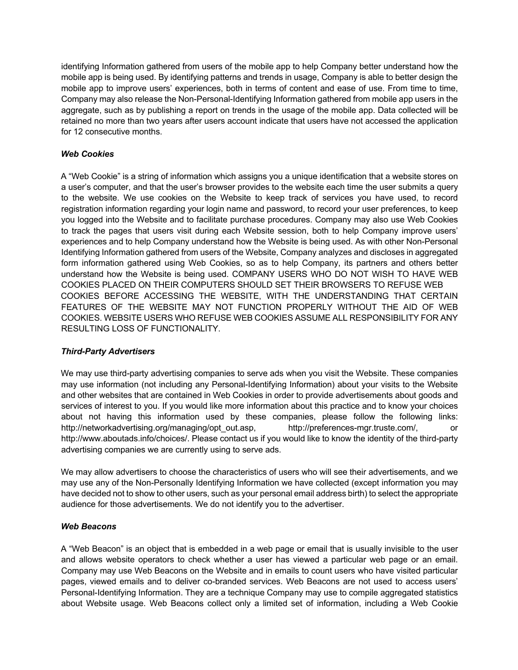identifying Information gathered from users of the mobile app to help Company better understand how the mobile app is being used. By identifying patterns and trends in usage, Company is able to better design the mobile app to improve users' experiences, both in terms of content and ease of use. From time to time, Company may also release the Non-Personal-Identifying Information gathered from mobile app users in the aggregate, such as by publishing a report on trends in the usage of the mobile app. Data collected will be retained no more than two years after users account indicate that users have not accessed the application for 12 consecutive months.

### *Web Cookies*

A "Web Cookie" is a string of information which assigns you a unique identification that a website stores on a user's computer, and that the user's browser provides to the website each time the user submits a query to the website. We use cookies on the Website to keep track of services you have used, to record registration information regarding your login name and password, to record your user preferences, to keep you logged into the Website and to facilitate purchase procedures. Company may also use Web Cookies to track the pages that users visit during each Website session, both to help Company improve users' experiences and to help Company understand how the Website is being used. As with other Non-Personal Identifying Information gathered from users of the Website, Company analyzes and discloses in aggregated form information gathered using Web Cookies, so as to help Company, its partners and others better understand how the Website is being used. COMPANY USERS WHO DO NOT WISH TO HAVE WEB COOKIES PLACED ON THEIR COMPUTERS SHOULD SET THEIR BROWSERS TO REFUSE WEB COOKIES BEFORE ACCESSING THE WEBSITE, WITH THE UNDERSTANDING THAT CERTAIN FEATURES OF THE WEBSITE MAY NOT FUNCTION PROPERLY WITHOUT THE AID OF WEB COOKIES. WEBSITE USERS WHO REFUSE WEB COOKIES ASSUME ALL RESPONSIBILITY FOR ANY RESULTING LOSS OF FUNCTIONALITY.

### *Third-Party Advertisers*

We may use third-party advertising companies to serve ads when you visit the Website. These companies may use information (not including any Personal-Identifying Information) about your visits to the Website and other websites that are contained in Web Cookies in order to provide advertisements about goods and services of interest to you. If you would like more information about this practice and to know your choices about not having this information used by these companies, please follow the following links: http://networkadvertising.org/managing/opt\_out.asp, http://preferences-mgr.truste.com/, or http://www.aboutads.info/choices/. Please contact us if you would like to know the identity of the third-party advertising companies we are currently using to serve ads.

We may allow advertisers to choose the characteristics of users who will see their advertisements, and we may use any of the Non-Personally Identifying Information we have collected (except information you may have decided not to show to other users, such as your personal email address birth) to select the appropriate audience for those advertisements. We do not identify you to the advertiser.

### *Web Beacons*

A "Web Beacon" is an object that is embedded in a web page or email that is usually invisible to the user and allows website operators to check whether a user has viewed a particular web page or an email. Company may use Web Beacons on the Website and in emails to count users who have visited particular pages, viewed emails and to deliver co-branded services. Web Beacons are not used to access users' Personal-Identifying Information. They are a technique Company may use to compile aggregated statistics about Website usage. Web Beacons collect only a limited set of information, including a Web Cookie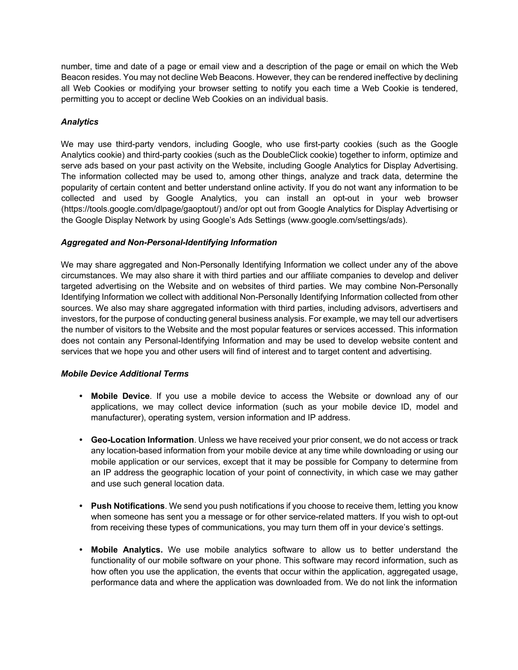number, time and date of a page or email view and a description of the page or email on which the Web Beacon resides. You may not decline Web Beacons. However, they can be rendered ineffective by declining all Web Cookies or modifying your browser setting to notify you each time a Web Cookie is tendered, permitting you to accept or decline Web Cookies on an individual basis.

# *Analytics*

We may use third-party vendors, including Google, who use first-party cookies (such as the Google Analytics cookie) and third-party cookies (such as the DoubleClick cookie) together to inform, optimize and serve ads based on your past activity on the Website, including Google Analytics for Display Advertising. The information collected may be used to, among other things, analyze and track data, determine the popularity of certain content and better understand online activity. If you do not want any information to be collected and used by Google Analytics, you can install an opt-out in your web browser (https://tools.google.com/dlpage/gaoptout/) and/or opt out from Google Analytics for Display Advertising or the Google Display Network by using Google's Ads Settings (www.google.com/settings/ads).

### *Aggregated and Non-Personal-Identifying Information*

We may share aggregated and Non-Personally Identifying Information we collect under any of the above circumstances. We may also share it with third parties and our affiliate companies to develop and deliver targeted advertising on the Website and on websites of third parties. We may combine Non-Personally Identifying Information we collect with additional Non-Personally Identifying Information collected from other sources. We also may share aggregated information with third parties, including advisors, advertisers and investors, for the purpose of conducting general business analysis. For example, we may tell our advertisers the number of visitors to the Website and the most popular features or services accessed. This information does not contain any Personal-Identifying Information and may be used to develop website content and services that we hope you and other users will find of interest and to target content and advertising.

### *Mobile Device Additional Terms*

- **• Mobile Device**. If you use a mobile device to access the Website or download any of our applications, we may collect device information (such as your mobile device ID, model and manufacturer), operating system, version information and IP address.
- **• Geo-Location Information**. Unless we have received your prior consent, we do not access or track any location-based information from your mobile device at any time while downloading or using our mobile application or our services, except that it may be possible for Company to determine from an IP address the geographic location of your point of connectivity, in which case we may gather and use such general location data.
- **• Push Notifications**. We send you push notifications if you choose to receive them, letting you know when someone has sent you a message or for other service-related matters. If you wish to opt-out from receiving these types of communications, you may turn them off in your device's settings.
- **• Mobile Analytics.** We use mobile analytics software to allow us to better understand the functionality of our mobile software on your phone. This software may record information, such as how often you use the application, the events that occur within the application, aggregated usage, performance data and where the application was downloaded from. We do not link the information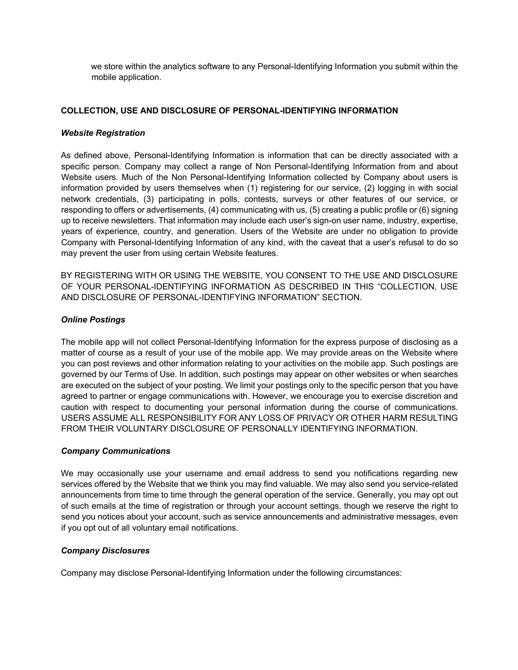we store within the analytics software to any Personal-Identifying Information you submit within the mobile application.

#### **COLLECTION, USE AND DISCLOSURE OF PERSONAL-IDENTIFYING INFORMATION**

#### *Website Registration*

As defined above, Personal-Identifying Information is information that can be directly associated with a specific person. Company may collect a range of Non Personal-Identifying Information from and about Website users. Much of the Non Personal-Identifying Information collected by Company about users is information provided by users themselves when (1) registering for our service, (2) logging in with social network credentials, (3) participating in polls, contests, surveys or other features of our service, or responding to offers or advertisements, (4) communicating with us, (5) creating a public profile or (6) signing up to receive newsletters. That information may include each user's sign-on user name, industry, expertise, years of experience, country, and generation. Users of the Website are under no obligation to provide Company with Personal-Identifying Information of any kind, with the caveat that a user's refusal to do so may prevent the user from using certain Website features.

BY REGISTERING WITH OR USING THE WEBSITE, YOU CONSENT TO THE USE AND DISCLOSURE OF YOUR PERSONAL-IDENTIFYING INFORMATION AS DESCRIBED IN THIS "COLLECTION, USE AND DISCLOSURE OF PERSONAL-IDENTIFYING INFORMATION" SECTION.

### *Online Postings*

The mobile app will not collect Personal-Identifying Information for the express purpose of disclosing as a matter of course as a result of your use of the mobile app. We may provide areas on the Website where you can post reviews and other information relating to your activities on the mobile app. Such postings are governed by our Terms of Use. In addition, such postings may appear on other websites or when searches are executed on the subject of your posting. We limit your postings only to the specific person that you have agreed to partner or engage communications with. However, we encourage you to exercise discretion and caution with respect to documenting your personal information during the course of communications. USERS ASSUME ALL RESPONSIBILITY FOR ANY LOSS OF PRIVACY OR OTHER HARM RESULTING FROM THEIR VOLUNTARY DISCLOSURE OF PERSONALLY IDENTIFYING INFORMATION.

#### *Company Communications*

We may occasionally use your username and email address to send you notifications regarding new services offered by the Website that we think you may find valuable. We may also send you service-related announcements from time to time through the general operation of the service. Generally, you may opt out of such emails at the time of registration or through your account settings, though we reserve the right to send you notices about your account, such as service announcements and administrative messages, even if you opt out of all voluntary email notifications.

#### *Company Disclosures*

Company may disclose Personal-Identifying Information under the following circumstances: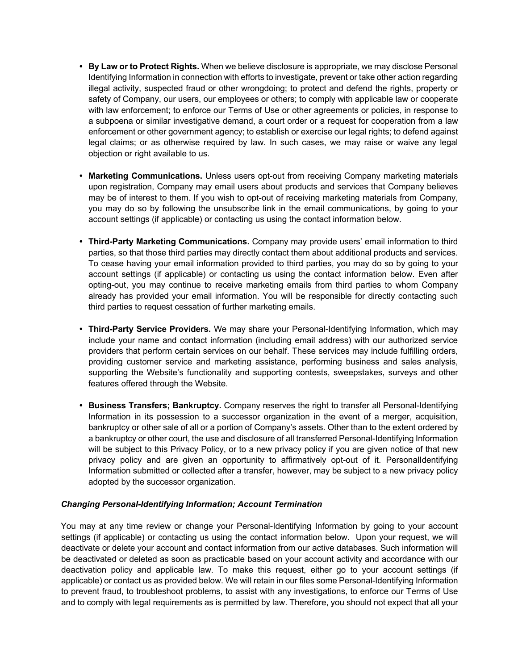- **• By Law or to Protect Rights.** When we believe disclosure is appropriate, we may disclose Personal Identifying Information in connection with efforts to investigate, prevent or take other action regarding illegal activity, suspected fraud or other wrongdoing; to protect and defend the rights, property or safety of Company, our users, our employees or others; to comply with applicable law or cooperate with law enforcement; to enforce our Terms of Use or other agreements or policies, in response to a subpoena or similar investigative demand, a court order or a request for cooperation from a law enforcement or other government agency; to establish or exercise our legal rights; to defend against legal claims; or as otherwise required by law. In such cases, we may raise or waive any legal objection or right available to us.
- **• Marketing Communications.** Unless users opt-out from receiving Company marketing materials upon registration, Company may email users about products and services that Company believes may be of interest to them. If you wish to opt-out of receiving marketing materials from Company, you may do so by following the unsubscribe link in the email communications, by going to your account settings (if applicable) or contacting us using the contact information below.
- **• Third-Party Marketing Communications.** Company may provide users' email information to third parties, so that those third parties may directly contact them about additional products and services. To cease having your email information provided to third parties, you may do so by going to your account settings (if applicable) or contacting us using the contact information below. Even after opting-out, you may continue to receive marketing emails from third parties to whom Company already has provided your email information. You will be responsible for directly contacting such third parties to request cessation of further marketing emails.
- **• Third-Party Service Providers.** We may share your Personal-Identifying Information, which may include your name and contact information (including email address) with our authorized service providers that perform certain services on our behalf. These services may include fulfilling orders, providing customer service and marketing assistance, performing business and sales analysis, supporting the Website's functionality and supporting contests, sweepstakes, surveys and other features offered through the Website.
- **• Business Transfers; Bankruptcy.** Company reserves the right to transfer all Personal-Identifying Information in its possession to a successor organization in the event of a merger, acquisition, bankruptcy or other sale of all or a portion of Company's assets. Other than to the extent ordered by a bankruptcy or other court, the use and disclosure of all transferred Personal-Identifying Information will be subject to this Privacy Policy, or to a new privacy policy if you are given notice of that new privacy policy and are given an opportunity to affirmatively opt-out of it. PersonalIdentifying Information submitted or collected after a transfer, however, may be subject to a new privacy policy adopted by the successor organization.

### *Changing Personal-Identifying Information; Account Termination*

You may at any time review or change your Personal-Identifying Information by going to your account settings (if applicable) or contacting us using the contact information below. Upon your request, we will deactivate or delete your account and contact information from our active databases. Such information will be deactivated or deleted as soon as practicable based on your account activity and accordance with our deactivation policy and applicable law. To make this request, either go to your account settings (if applicable) or contact us as provided below. We will retain in our files some Personal-Identifying Information to prevent fraud, to troubleshoot problems, to assist with any investigations, to enforce our Terms of Use and to comply with legal requirements as is permitted by law. Therefore, you should not expect that all your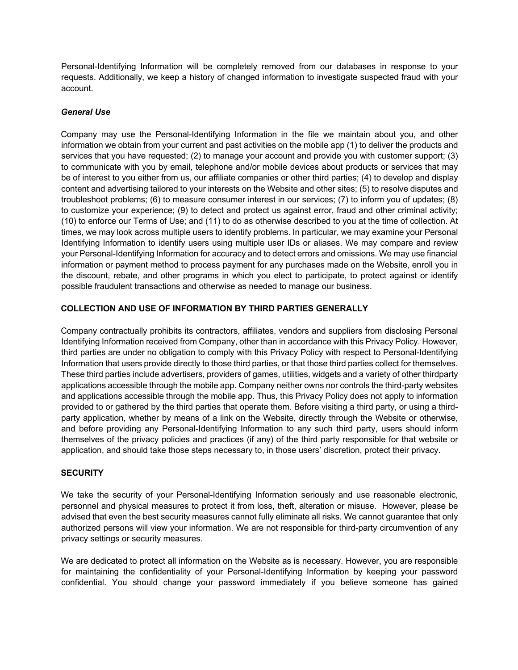Personal-Identifying Information will be completely removed from our databases in response to your requests. Additionally, we keep a history of changed information to investigate suspected fraud with your account.

### *General Use*

Company may use the Personal-Identifying Information in the file we maintain about you, and other information we obtain from your current and past activities on the mobile app (1) to deliver the products and services that you have requested; (2) to manage your account and provide you with customer support; (3) to communicate with you by email, telephone and/or mobile devices about products or services that may be of interest to you either from us, our affiliate companies or other third parties; (4) to develop and display content and advertising tailored to your interests on the Website and other sites; (5) to resolve disputes and troubleshoot problems; (6) to measure consumer interest in our services; (7) to inform you of updates; (8) to customize your experience; (9) to detect and protect us against error, fraud and other criminal activity; (10) to enforce our Terms of Use; and (11) to do as otherwise described to you at the time of collection. At times, we may look across multiple users to identify problems. In particular, we may examine your Personal Identifying Information to identify users using multiple user IDs or aliases. We may compare and review your Personal-Identifying Information for accuracy and to detect errors and omissions. We may use financial information or payment method to process payment for any purchases made on the Website, enroll you in the discount, rebate, and other programs in which you elect to participate, to protect against or identify possible fraudulent transactions and otherwise as needed to manage our business.

### **COLLECTION AND USE OF INFORMATION BY THIRD PARTIES GENERALLY**

Company contractually prohibits its contractors, affiliates, vendors and suppliers from disclosing Personal Identifying Information received from Company, other than in accordance with this Privacy Policy. However, third parties are under no obligation to comply with this Privacy Policy with respect to Personal-Identifying Information that users provide directly to those third parties, or that those third parties collect for themselves. These third parties include advertisers, providers of games, utilities, widgets and a variety of other thirdparty applications accessible through the mobile app. Company neither owns nor controls the third-party websites and applications accessible through the mobile app. Thus, this Privacy Policy does not apply to information provided to or gathered by the third parties that operate them. Before visiting a third party, or using a thirdparty application, whether by means of a link on the Website, directly through the Website or otherwise, and before providing any Personal-Identifying Information to any such third party, users should inform themselves of the privacy policies and practices (if any) of the third party responsible for that website or application, and should take those steps necessary to, in those users' discretion, protect their privacy.

#### **SECURITY**

We take the security of your Personal-Identifying Information seriously and use reasonable electronic, personnel and physical measures to protect it from loss, theft, alteration or misuse. However, please be advised that even the best security measures cannot fully eliminate all risks. We cannot guarantee that only authorized persons will view your information. We are not responsible for third-party circumvention of any privacy settings or security measures.

We are dedicated to protect all information on the Website as is necessary. However, you are responsible for maintaining the confidentiality of your Personal-Identifying Information by keeping your password confidential. You should change your password immediately if you believe someone has gained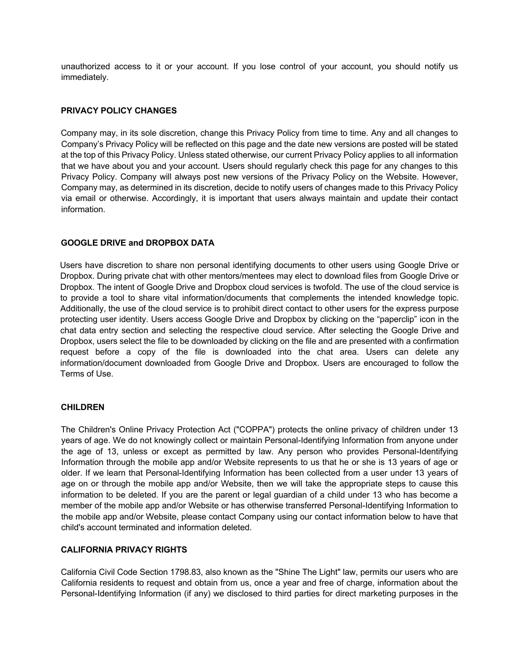unauthorized access to it or your account. If you lose control of your account, you should notify us immediately.

### **PRIVACY POLICY CHANGES**

Company may, in its sole discretion, change this Privacy Policy from time to time. Any and all changes to Company's Privacy Policy will be reflected on this page and the date new versions are posted will be stated at the top of this Privacy Policy. Unless stated otherwise, our current Privacy Policy applies to all information that we have about you and your account. Users should regularly check this page for any changes to this Privacy Policy. Company will always post new versions of the Privacy Policy on the Website. However, Company may, as determined in its discretion, decide to notify users of changes made to this Privacy Policy via email or otherwise. Accordingly, it is important that users always maintain and update their contact information.

### **GOOGLE DRIVE and DROPBOX DATA**

Users have discretion to share non personal identifying documents to other users using Google Drive or Dropbox. During private chat with other mentors/mentees may elect to download files from Google Drive or Dropbox. The intent of Google Drive and Dropbox cloud services is twofold. The use of the cloud service is to provide a tool to share vital information/documents that complements the intended knowledge topic. Additionally, the use of the cloud service is to prohibit direct contact to other users for the express purpose protecting user identity. Users access Google Drive and Dropbox by clicking on the "paperclip" icon in the chat data entry section and selecting the respective cloud service. After selecting the Google Drive and Dropbox, users select the file to be downloaded by clicking on the file and are presented with a confirmation request before a copy of the file is downloaded into the chat area. Users can delete any information/document downloaded from Google Drive and Dropbox. Users are encouraged to follow the Terms of Use.

#### **CHILDREN**

The Children's Online Privacy Protection Act ("COPPA") protects the online privacy of children under 13 years of age. We do not knowingly collect or maintain Personal-Identifying Information from anyone under the age of 13, unless or except as permitted by law. Any person who provides Personal-Identifying Information through the mobile app and/or Website represents to us that he or she is 13 years of age or older. If we learn that Personal-Identifying Information has been collected from a user under 13 years of age on or through the mobile app and/or Website, then we will take the appropriate steps to cause this information to be deleted. If you are the parent or legal guardian of a child under 13 who has become a member of the mobile app and/or Website or has otherwise transferred Personal-Identifying Information to the mobile app and/or Website, please contact Company using our contact information below to have that child's account terminated and information deleted.

### **CALIFORNIA PRIVACY RIGHTS**

California Civil Code Section 1798.83, also known as the "Shine The Light" law, permits our users who are California residents to request and obtain from us, once a year and free of charge, information about the Personal-Identifying Information (if any) we disclosed to third parties for direct marketing purposes in the